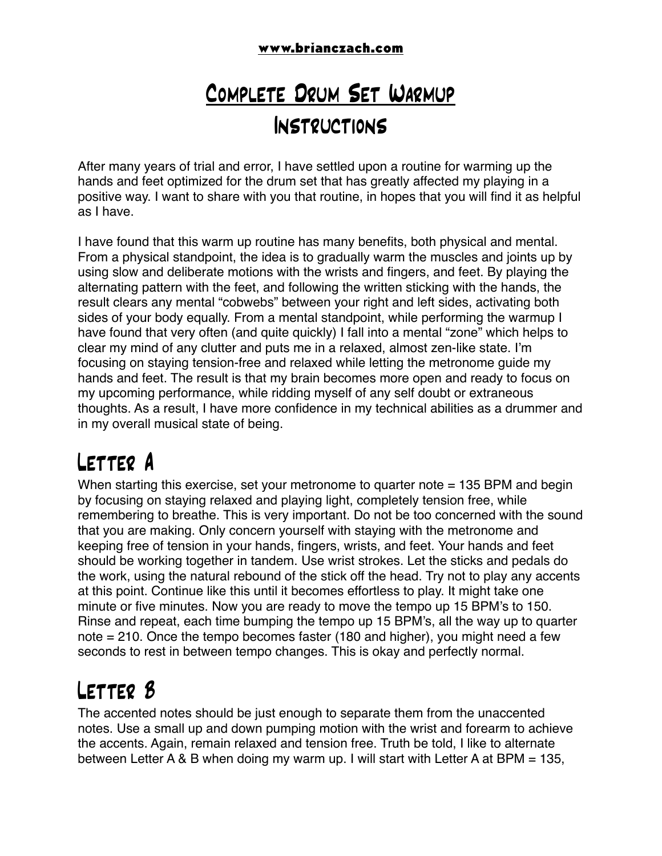#### **www.brianczach.com**

### Complete Drum Set Warmup Instructions

After many years of trial and error, I have settled upon a routine for warming up the hands and feet optimized for the drum set that has greatly affected my playing in a positive way. I want to share with you that routine, in hopes that you will find it as helpful as I have.

I have found that this warm up routine has many benefits, both physical and mental. From a physical standpoint, the idea is to gradually warm the muscles and joints up by using slow and deliberate motions with the wrists and fingers, and feet. By playing the alternating pattern with the feet, and following the written sticking with the hands, the result clears any mental "cobwebs" between your right and left sides, activating both sides of your body equally. From a mental standpoint, while performing the warmup I have found that very often (and quite quickly) I fall into a mental "zone" which helps to clear my mind of any clutter and puts me in a relaxed, almost zen-like state. I'm focusing on staying tension-free and relaxed while letting the metronome guide my hands and feet. The result is that my brain becomes more open and ready to focus on my upcoming performance, while ridding myself of any self doubt or extraneous thoughts. As a result, I have more confidence in my technical abilities as a drummer and in my overall musical state of being.

#### Letter A

When starting this exercise, set your metronome to quarter note = 135 BPM and begin by focusing on staying relaxed and playing light, completely tension free, while remembering to breathe. This is very important. Do not be too concerned with the sound that you are making. Only concern yourself with staying with the metronome and keeping free of tension in your hands, fingers, wrists, and feet. Your hands and feet should be working together in tandem. Use wrist strokes. Let the sticks and pedals do the work, using the natural rebound of the stick off the head. Try not to play any accents at this point. Continue like this until it becomes effortless to play. It might take one minute or five minutes. Now you are ready to move the tempo up 15 BPM's to 150. Rinse and repeat, each time bumping the tempo up 15 BPM's, all the way up to quarter note = 210. Once the tempo becomes faster (180 and higher), you might need a few seconds to rest in between tempo changes. This is okay and perfectly normal.

#### Letter B

The accented notes should be just enough to separate them from the unaccented notes. Use a small up and down pumping motion with the wrist and forearm to achieve the accents. Again, remain relaxed and tension free. Truth be told, I like to alternate between Letter A & B when doing my warm up. I will start with Letter A at BPM = 135,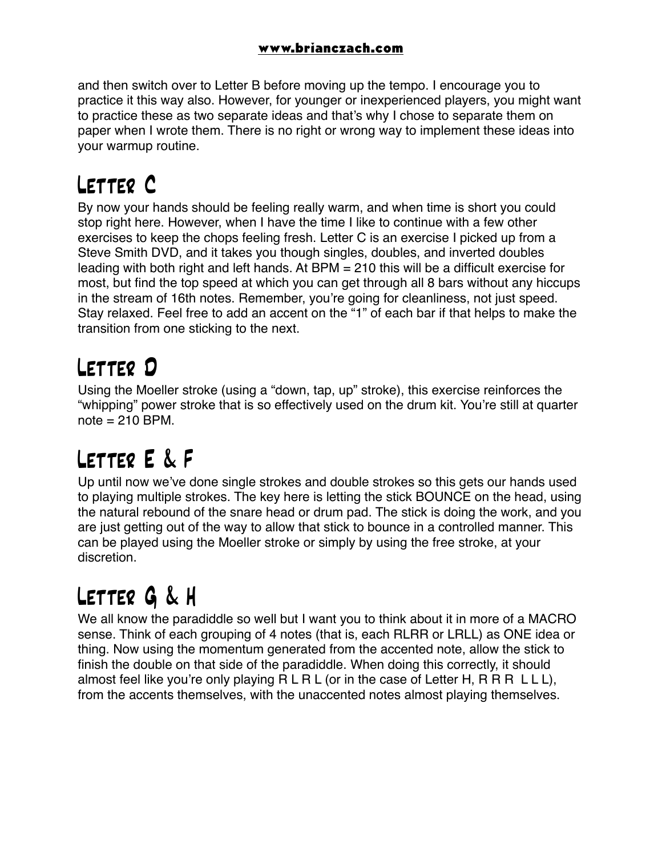and then switch over to Letter B before moving up the tempo. I encourage you to practice it this way also. However, for younger or inexperienced players, you might want to practice these as two separate ideas and that's why I chose to separate them on paper when I wrote them. There is no right or wrong way to implement these ideas into your warmup routine.

## Letter C

By now your hands should be feeling really warm, and when time is short you could stop right here. However, when I have the time I like to continue with a few other exercises to keep the chops feeling fresh. Letter C is an exercise I picked up from a Steve Smith DVD, and it takes you though singles, doubles, and inverted doubles leading with both right and left hands. At BPM = 210 this will be a difficult exercise for most, but find the top speed at which you can get through all 8 bars without any hiccups in the stream of 16th notes. Remember, you're going for cleanliness, not just speed. Stay relaxed. Feel free to add an accent on the "1" of each bar if that helps to make the transition from one sticking to the next.

#### Letter D

Using the Moeller stroke (using a "down, tap, up" stroke), this exercise reinforces the "whipping" power stroke that is so effectively used on the drum kit. You're still at quarter  $note = 210$  BPM.

## Letter E & F

Up until now we've done single strokes and double strokes so this gets our hands used to playing multiple strokes. The key here is letting the stick BOUNCE on the head, using the natural rebound of the snare head or drum pad. The stick is doing the work, and you are just getting out of the way to allow that stick to bounce in a controlled manner. This can be played using the Moeller stroke or simply by using the free stroke, at your discretion.

# Letter G & H

We all know the paradiddle so well but I want you to think about it in more of a MACRO sense. Think of each grouping of 4 notes (that is, each RLRR or LRLL) as ONE idea or thing. Now using the momentum generated from the accented note, allow the stick to finish the double on that side of the paradiddle. When doing this correctly, it should almost feel like you're only playing  $R$  L R L (or in the case of Letter H, R R R L L L), from the accents themselves, with the unaccented notes almost playing themselves.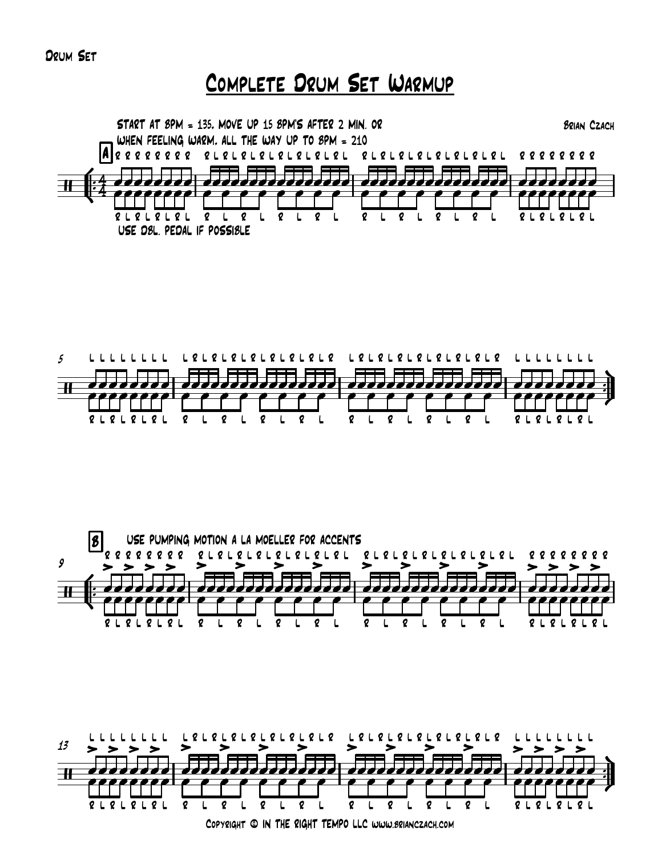Drum Set

# Complete Drum Set Warmup